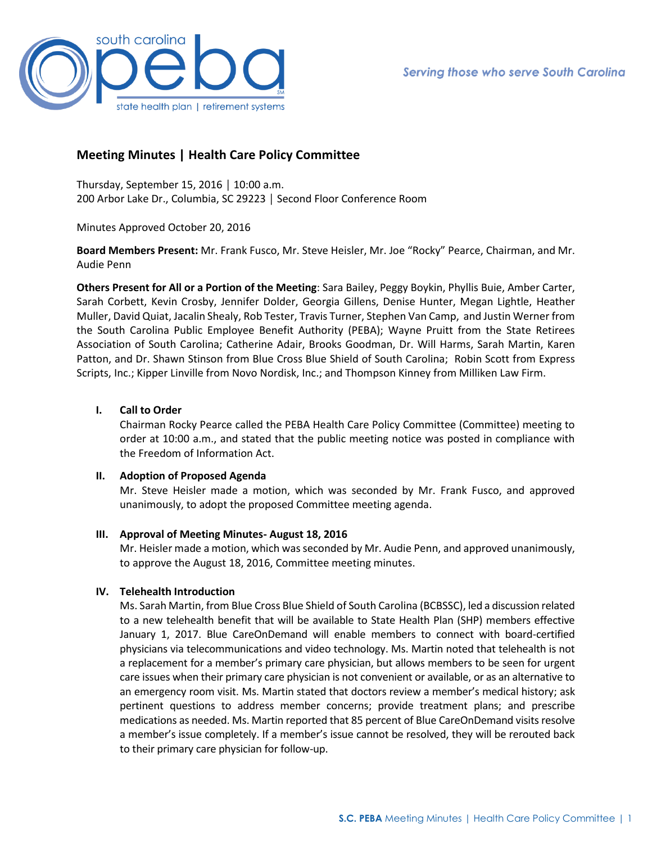

# **Meeting Minutes | Health Care Policy Committee**

Thursday, September 15, 2016 │ 10:00 a.m. 200 Arbor Lake Dr., Columbia, SC 29223 │ Second Floor Conference Room

Minutes Approved October 20, 2016

**Board Members Present:** Mr. Frank Fusco, Mr. Steve Heisler, Mr. Joe "Rocky" Pearce, Chairman, and Mr. Audie Penn

**Others Present for All or a Portion of the Meeting**: Sara Bailey, Peggy Boykin, Phyllis Buie, Amber Carter, Sarah Corbett, Kevin Crosby, Jennifer Dolder, Georgia Gillens, Denise Hunter, Megan Lightle, Heather Muller, David Quiat, Jacalin Shealy, Rob Tester, Travis Turner, Stephen Van Camp, and Justin Werner from the South Carolina Public Employee Benefit Authority (PEBA); Wayne Pruitt from the State Retirees Association of South Carolina; Catherine Adair, Brooks Goodman, Dr. Will Harms, Sarah Martin, Karen Patton, and Dr. Shawn Stinson from Blue Cross Blue Shield of South Carolina; Robin Scott from Express Scripts, Inc.; Kipper Linville from Novo Nordisk, Inc.; and Thompson Kinney from Milliken Law Firm.

### **I. Call to Order**

Chairman Rocky Pearce called the PEBA Health Care Policy Committee (Committee) meeting to order at 10:00 a.m., and stated that the public meeting notice was posted in compliance with the Freedom of Information Act.

#### **II. Adoption of Proposed Agenda**

Mr. Steve Heisler made a motion, which was seconded by Mr. Frank Fusco, and approved unanimously, to adopt the proposed Committee meeting agenda.

### **III. Approval of Meeting Minutes- August 18, 2016**

Mr. Heisler made a motion, which was seconded by Mr. Audie Penn, and approved unanimously, to approve the August 18, 2016, Committee meeting minutes.

## **IV. Telehealth Introduction**

Ms. Sarah Martin, from Blue Cross Blue Shield of South Carolina (BCBSSC), led a discussion related to a new telehealth benefit that will be available to State Health Plan (SHP) members effective January 1, 2017. Blue CareOnDemand will enable members to connect with board-certified physicians via telecommunications and video technology. Ms. Martin noted that telehealth is not a replacement for a member's primary care physician, but allows members to be seen for urgent care issues when their primary care physician is not convenient or available, or as an alternative to an emergency room visit. Ms. Martin stated that doctors review a member's medical history; ask pertinent questions to address member concerns; provide treatment plans; and prescribe medications as needed. Ms. Martin reported that 85 percent of Blue CareOnDemand visits resolve a member's issue completely. If a member's issue cannot be resolved, they will be rerouted back to their primary care physician for follow-up.